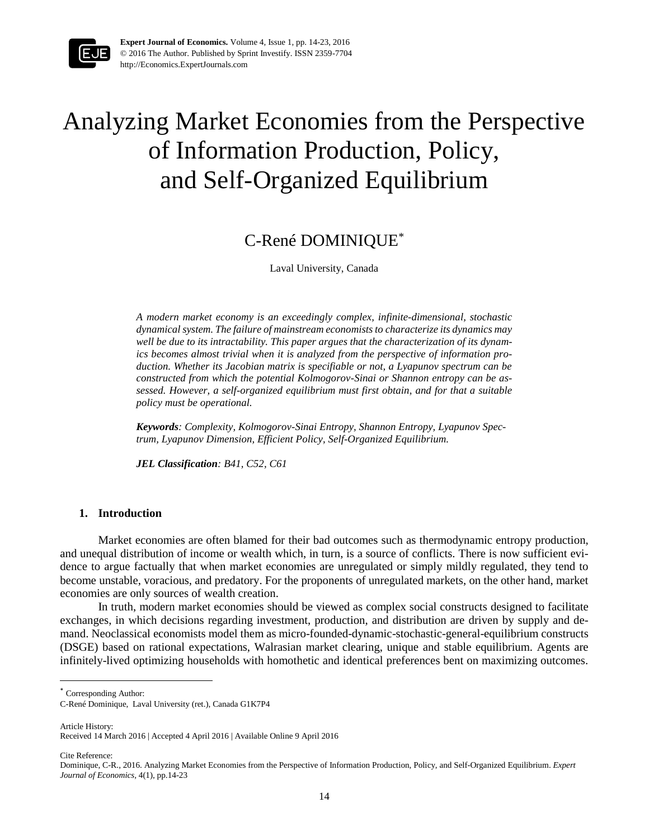

**Expert Journal of Economics.** Volume 4, Issue 1, pp. 14-23, 2016 © 2016 The Author. Published by Sprint Investify. ISSN 2359-7704 http://Economics.ExpertJournals.com

# Analyzing Market Economies from the Perspective of Information Production, Policy, and Self-Organized Equilibrium

# C-René DOMINIQUE\*

Laval University, Canada

*A modern market economy is an exceedingly complex, infinite-dimensional, stochastic dynamical system. The failure of mainstream economists to characterize its dynamics may well be due to its intractability. This paper argues that the characterization of its dynamics becomes almost trivial when it is analyzed from the perspective of information production. Whether its Jacobian matrix is specifiable or not, a Lyapunov spectrum can be constructed from which the potential Kolmogorov-Sinai or Shannon entropy can be assessed. However, a self-organized equilibrium must first obtain, and for that a suitable policy must be operational.*

*Keywords: Complexity, Kolmogorov-Sinai Entropy, Shannon Entropy, Lyapunov Spectrum, Lyapunov Dimension, Efficient Policy, Self-Organized Equilibrium.*

*JEL Classification: B41, C52, C61* 

#### **1. Introduction**

Market economies are often blamed for their bad outcomes such as thermodynamic entropy production, and unequal distribution of income or wealth which, in turn, is a source of conflicts. There is now sufficient evidence to argue factually that when market economies are unregulated or simply mildly regulated, they tend to become unstable, voracious, and predatory. For the proponents of unregulated markets, on the other hand, market economies are only sources of wealth creation.

In truth, modern market economies should be viewed as complex social constructs designed to facilitate exchanges, in which decisions regarding investment, production, and distribution are driven by supply and demand. Neoclassical economists model them as micro-founded-dynamic-stochastic-general-equilibrium constructs (DSGE) based on rational expectations, Walrasian market clearing, unique and stable equilibrium. Agents are infinitely-lived optimizing households with homothetic and identical preferences bent on maximizing outcomes.

Article History: Received 14 March 2016 | Accepted 4 April 2016 | Available Online 9 April 2016

Cite Reference:

 $\overline{a}$ 

<sup>\*</sup> Corresponding Author:

C-René Dominique, Laval University (ret.), Canada G1K7P4

Dominique, C-R., 2016. Analyzing Market Economies from the Perspective of Information Production, Policy, and Self-Organized Equilibrium. *Expert Journal of Economics,* 4(1), pp.14-23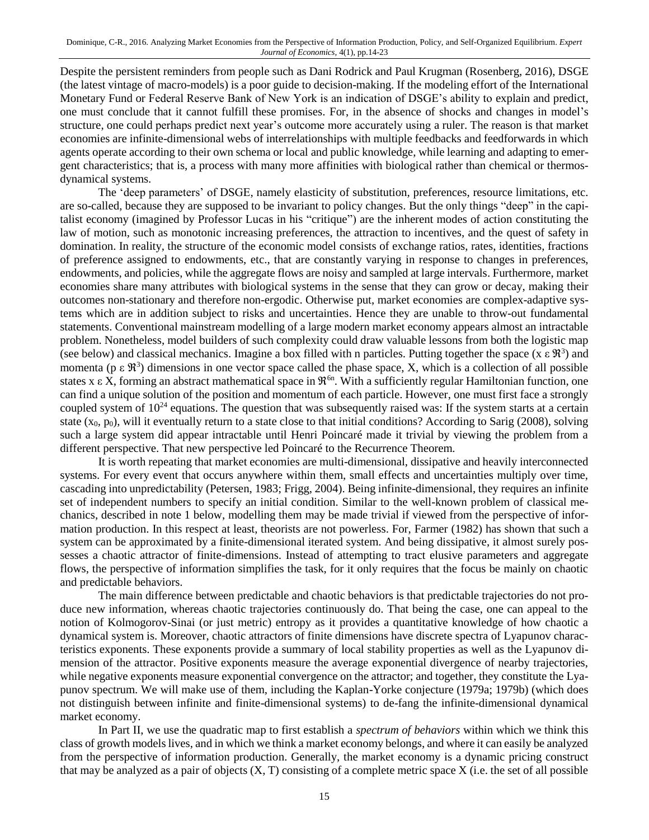Despite the persistent reminders from people such as Dani Rodrick and Paul Krugman (Rosenberg, 2016), DSGE (the latest vintage of macro-models) is a poor guide to decision-making. If the modeling effort of the International Monetary Fund or Federal Reserve Bank of New York is an indication of DSGE's ability to explain and predict, one must conclude that it cannot fulfill these promises. For, in the absence of shocks and changes in model's structure, one could perhaps predict next year's outcome more accurately using a ruler. The reason is that market economies are infinite-dimensional webs of interrelationships with multiple feedbacks and feedforwards in which agents operate according to their own schema or local and public knowledge, while learning and adapting to emergent characteristics; that is, a process with many more affinities with biological rather than chemical or thermosdynamical systems.

 The 'deep parameters' of DSGE, namely elasticity of substitution, preferences, resource limitations, etc. are so-called, because they are supposed to be invariant to policy changes. But the only things "deep" in the capitalist economy (imagined by Professor Lucas in his "critique") are the inherent modes of action constituting the law of motion, such as monotonic increasing preferences, the attraction to incentives, and the quest of safety in domination. In reality, the structure of the economic model consists of exchange ratios, rates, identities, fractions of preference assigned to endowments, etc., that are constantly varying in response to changes in preferences, endowments, and policies, while the aggregate flows are noisy and sampled at large intervals. Furthermore, market economies share many attributes with biological systems in the sense that they can grow or decay, making their outcomes non-stationary and therefore non-ergodic. Otherwise put, market economies are complex-adaptive systems which are in addition subject to risks and uncertainties. Hence they are unable to throw-out fundamental statements. Conventional mainstream modelling of a large modern market economy appears almost an intractable problem. Nonetheless, model builders of such complexity could draw valuable lessons from both the logistic map (see below) and classical mechanics. Imagine a box filled with n particles. Putting together the space (x  $\epsilon \mathcal{R}^3$ ) and momenta ( $p \in \mathbb{R}^3$ ) dimensions in one vector space called the phase space, X, which is a collection of all possible states x  $\epsilon$  X, forming an abstract mathematical space in  $\mathfrak{R}^{6n}$ . With a sufficiently regular Hamiltonian function, one can find a unique solution of the position and momentum of each particle. However, one must first face a strongly coupled system of  $10^{24}$  equations. The question that was subsequently raised was: If the system starts at a certain state  $(x_0, p_0)$ , will it eventually return to a state close to that initial conditions? According to Sarig (2008), solving such a large system did appear intractable until Henri Poincaré made it trivial by viewing the problem from a different perspective. That new perspective led Poincaré to the Recurrence Theorem.

It is worth repeating that market economies are multi-dimensional, dissipative and heavily interconnected systems. For every event that occurs anywhere within them, small effects and uncertainties multiply over time, cascading into unpredictability (Petersen, 1983; Frigg, 2004). Being infinite-dimensional, they requires an infinite set of independent numbers to specify an initial condition. Similar to the well-known problem of classical mechanics, described in note 1 below, modelling them may be made trivial if viewed from the perspective of information production. In this respect at least, theorists are not powerless. For, Farmer (1982) has shown that such a system can be approximated by a finite-dimensional iterated system. And being dissipative, it almost surely possesses a chaotic attractor of finite-dimensions. Instead of attempting to tract elusive parameters and aggregate flows, the perspective of information simplifies the task, for it only requires that the focus be mainly on chaotic and predictable behaviors.

 The main difference between predictable and chaotic behaviors is that predictable trajectories do not produce new information, whereas chaotic trajectories continuously do. That being the case, one can appeal to the notion of Kolmogorov-Sinai (or just metric) entropy as it provides a quantitative knowledge of how chaotic a dynamical system is. Moreover, chaotic attractors of finite dimensions have discrete spectra of Lyapunov characteristics exponents. These exponents provide a summary of local stability properties as well as the Lyapunov dimension of the attractor. Positive exponents measure the average exponential divergence of nearby trajectories, while negative exponents measure exponential convergence on the attractor; and together, they constitute the Lyapunov spectrum. We will make use of them, including the Kaplan-Yorke conjecture (1979a; 1979b) (which does not distinguish between infinite and finite-dimensional systems) to de-fang the infinite-dimensional dynamical market economy.

 In Part II, we use the quadratic map to first establish a *spectrum of behaviors* within which we think this class of growth models lives, and in which we think a market economy belongs, and where it can easily be analyzed from the perspective of information production. Generally, the market economy is a dynamic pricing construct that may be analyzed as a pair of objects  $(X, T)$  consisting of a complete metric space  $X$  (i.e. the set of all possible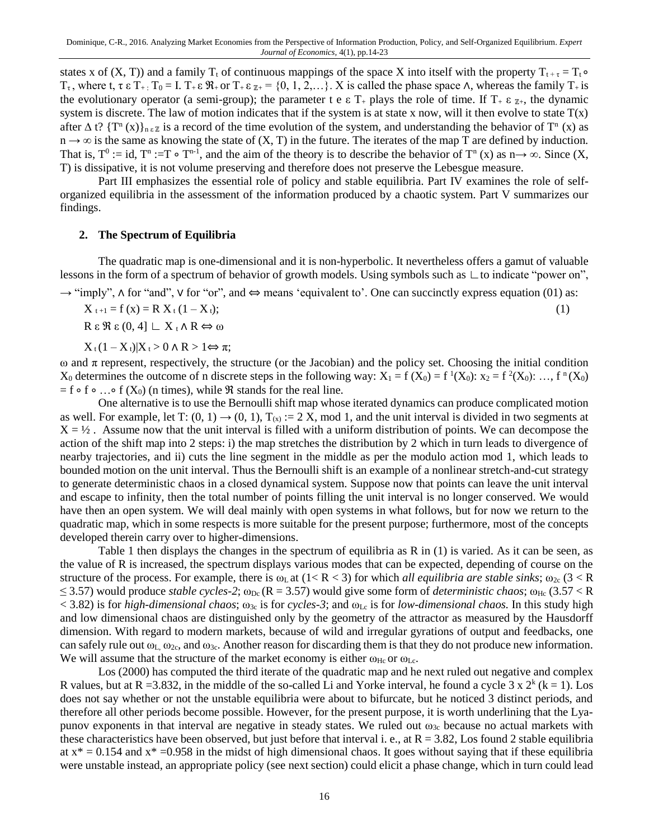states x of (X, T)) and a family T<sub>t</sub> of continuous mappings of the space X into itself with the property T<sub>t+τ</sub> = T<sub>t</sub> •  $T_{\tau}$ , where t,  $\tau \in T_{+}$ :  $T_0 = I$ .  $T_{+} \in \mathbb{R}_{+}$  or  $T_{+} \in \mathbb{Z}_{+} = \{0, 1, 2, ...\}$ . X is called the phase space  $\Lambda$ , whereas the family  $T_{+}$  is the evolutionary operator (a semi-group); the parameter t e  $\epsilon$  T<sub>+</sub> plays the role of time. If T<sub>+</sub>  $\epsilon$   $\chi$ <sub>+</sub>, the dynamic system is discrete. The law of motion indicates that if the system is at state x now, will it then evolve to state  $T(x)$ after  $\Delta$  t? {T<sup>n</sup> (x)}<sub>n ε z</sub> is a record of the time evolution of the system, and understanding the behavior of T<sup>n</sup> (x) as  $n \to \infty$  is the same as knowing the state of  $(X, T)$  in the future. The iterates of the map T are defined by induction. That is,  $T^0 := id$ ,  $T^n := T \circ T^{n-1}$ , and the aim of the theory is to describe the behavior of  $T^n$  (x) as  $n \to \infty$ . Since (X, T) is dissipative, it is not volume preserving and therefore does not preserve the Lebesgue measure.

Part III emphasizes the essential role of policy and stable equilibria. Part IV examines the role of selforganized equilibria in the assessment of the information produced by a chaotic system. Part V summarizes our findings.

#### **2. The Spectrum of Equilibria**

 The quadratic map is one-dimensional and it is non-hyperbolic. It nevertheless offers a gamut of valuable lessons in the form of a spectrum of behavior of growth models. Using symbols such as ∟to indicate "power on",

→ "imply", ∧ for "and", ∨ for "or", and ⇔ means 'equivalent to'. One can succinctly express equation (01) as:

 $X_{t+1} = f(x) = R X_t (1 - X_t);$  (1)

 $R \varepsilon$  β  $\varepsilon$  (0, 4]  $\perp$  X<sub>t</sub> Λ R  $\Leftrightarrow$  ω

 $X_t(1 - X_t)|X_t > 0 \land R > 1 \Leftrightarrow \pi;$ 

 $ω$  and  $π$  represent, respectively, the structure (or the Jacobian) and the policy set. Choosing the initial condition  $X_0$  determines the outcome of n discrete steps in the following way:  $X_1 = f(X_0) = f^1(X_0)$ :  $x_2 = f^2(X_0)$ : ...,  $f^n(X_0)$  $= f \circ f \circ ... \circ f (X_0)$  (n times), while  $\Re$  stands for the real line.

 One alternative is to use the Bernoulli shift map whose iterated dynamics can produce complicated motion as well. For example, let T:  $(0, 1) \rightarrow (0, 1)$ , T<sub>(x)</sub> := 2 X, mod 1, and the unit interval is divided in two segments at  $X = \frac{1}{2}$ . Assume now that the unit interval is filled with a uniform distribution of points. We can decompose the action of the shift map into 2 steps: i) the map stretches the distribution by 2 which in turn leads to divergence of nearby trajectories, and ii) cuts the line segment in the middle as per the modulo action mod 1, which leads to bounded motion on the unit interval. Thus the Bernoulli shift is an example of a nonlinear stretch-and-cut strategy to generate deterministic chaos in a closed dynamical system. Suppose now that points can leave the unit interval and escape to infinity, then the total number of points filling the unit interval is no longer conserved. We would have then an open system. We will deal mainly with open systems in what follows, but for now we return to the quadratic map, which in some respects is more suitable for the present purpose; furthermore, most of the concepts developed therein carry over to higher-dimensions.

 Table 1 then displays the changes in the spectrum of equilibria as R in (1) is varied. As it can be seen, as the value of R is increased, the spectrum displays various modes that can be expected, depending of course on the structure of the process. For example, there is  $\omega_{\text{L}}$  at  $(1 < R < 3)$  for which *all equilibria are stable sinks*;  $\omega_{\text{2c}}$  (3 < R  $\leq$  3.57) would produce *stable cycles-2*;  $\omega_{Dc}$  (R = 3.57) would give some form of *deterministic chaos*;  $\omega_{Hc}$  (3.57 < R  $<$  3.82) is for *high-dimensional chaos*;  $\omega_{3c}$  is for *cycles-3*; and  $\omega_{1c}$  is for *low-dimensional chaos*. In this study high and low dimensional chaos are distinguished only by the geometry of the attractor as measured by the Hausdorff dimension. With regard to modern markets, because of wild and irregular gyrations of output and feedbacks, one can safely rule out  $\omega_{\rm L}$ ,  $\omega_{\rm 2c}$ , and  $\omega_{\rm 3c}$ . Another reason for discarding them is that they do not produce new information. We will assume that the structure of the market economy is either  $\omega_{\text{Hc}}$  or  $\omega_{\text{Lc}}$ .

Los (2000) has computed the third iterate of the quadratic map and he next ruled out negative and complex R values, but at R = 3.832, in the middle of the so-called Li and Yorke interval, he found a cycle  $3 \times 2^k$  (k = 1). Los does not say whether or not the unstable equilibria were about to bifurcate, but he noticed 3 distinct periods, and therefore all other periods become possible. However, for the present purpose, it is worth underlining that the Lyapunov exponents in that interval are negative in steady states. We ruled out  $\omega_{3c}$  because no actual markets with these characteristics have been observed, but just before that interval i. e., at  $R = 3.82$ , Los found 2 stable equilibria at  $x^* = 0.154$  and  $x^* = 0.958$  in the midst of high dimensional chaos. It goes without saying that if these equilibria were unstable instead, an appropriate policy (see next section) could elicit a phase change, which in turn could lead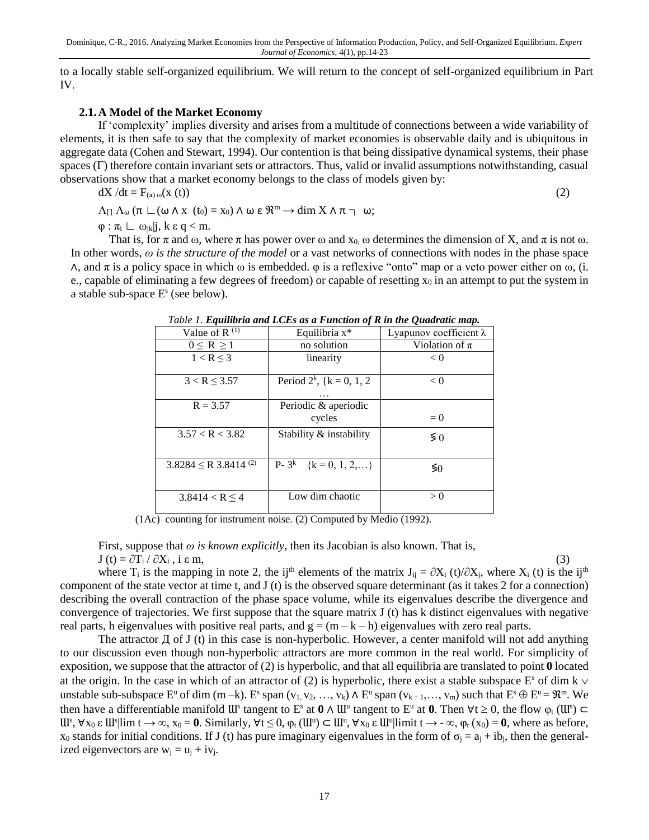to a locally stable self-organized equilibrium. We will return to the concept of self-organized equilibrium in Part IV.

#### **2.1.A Model of the Market Economy**

If 'complexity' implies diversity and arises from a multitude of connections between a wide variability of elements, it is then safe to say that the complexity of market economies is observable daily and is ubiquitous in aggregate data (Cohen and Stewart, 1994). Our contention is that being dissipative dynamical systems, their phase spaces (Γ) therefore contain invariant sets or attractors. Thus, valid or invalid assumptions notwithstanding, casual observations show that a market economy belongs to the class of models given by:

$$
dX/dt = F_{(\pi)\omega}(x(t))
$$
  
\n
$$
\Lambda_{\Pi} \Lambda_{\omega} (\pi \mathcal{L}(\omega \wedge x(t_0) = x_0) \wedge \omega \epsilon \mathfrak{R}^m \rightarrow dim X \wedge \pi \rightarrow \omega;
$$
\n(2)

 $\varphi : \pi_i \sqsubset \omega_{ik} | j, k \varepsilon q < m.$ 

That is, for  $\pi$  and  $\omega$ , where  $\pi$  has power over  $\omega$  and  $x_0$ ;  $\omega$  determines the dimension of X, and  $\pi$  is not  $\omega$ . In other words, *ω is the structure of the model* or a vast networks of connections with nodes in the phase space  $\land$ , and π is a policy space in which ω is embedded.  $\varphi$  is a reflexive "onto" map or a veto power either on ω, (i. e., capable of eliminating a few degrees of freedom) or capable of resetting  $x_0$  in an attempt to put the system in a stable sub-space  $E<sup>s</sup>$  (see below).

| гале 1. Единита ина ЕСЕѕ иѕ а г ансион орхин те Quaaranc тар. |                                                |                        |  |
|---------------------------------------------------------------|------------------------------------------------|------------------------|--|
| Value of $R^{(1)}$                                            | Equilibria $x^*$                               | Lyapunov coefficient λ |  |
| $0 \leq R \geq 1$                                             | no solution                                    | Violation of $\pi$     |  |
| $1 < R \leq 3$                                                | linearity                                      | < 0                    |  |
|                                                               |                                                |                        |  |
| $3 < R \leq 3.57$                                             | Period $2^k$ , { $k = 0, 1, 2$ }               | < 0                    |  |
|                                                               |                                                |                        |  |
| $R = 3.57$                                                    | Periodic & aperiodic                           |                        |  |
|                                                               | cycles                                         | $= 0$                  |  |
| 3.57 < R < 3.82                                               | Stability & instability                        | $\lessgtr 0$           |  |
|                                                               |                                                |                        |  |
| $3.8284 \le R$ 3.8414 <sup>(2)</sup>                          | $\overline{P}$ - 3 <sup>k</sup> {k = 0, 1, 2,} | $\lessgtr 0$           |  |
|                                                               |                                                |                        |  |
| $3.8414 < R \leq 4$                                           | Low dim chaotic                                | > 0                    |  |
|                                                               |                                                |                        |  |

*Table 1. Equilibria and LCEs as a Function of R in the Quadratic map.*

(1Ac) counting for instrument noise. (2) Computed by Medio (1992).

First, suppose that *ω is known explicitly*, then its Jacobian is also known. That is,

 $J(t) = \partial T_i / \partial X_i$ , i ε m, (3)

where T<sub>i</sub> is the mapping in note 2, the ij<sup>th</sup> elements of the matrix J<sub>ij</sub> = ∂X<sub>i</sub> (t)/∂X<sub>i</sub>, where X<sub>i</sub> (t) is the ij<sup>th</sup> component of the state vector at time t, and J (t) is the observed square determinant (as it takes 2 for a connection) describing the overall contraction of the phase space volume, while its eigenvalues describe the divergence and convergence of trajectories. We first suppose that the square matrix J (t) has k distinct eigenvalues with negative real parts, h eigenvalues with positive real parts, and  $g = (m - k - h)$  eigenvalues with zero real parts.

The attractor  $\Pi$  of J (t) in this case is non-hyperbolic. However, a center manifold will not add anything to our discussion even though non-hyperbolic attractors are more common in the real world. For simplicity of exposition, we suppose that the attractor of (2) is hyperbolic, and that all equilibria are translated to point **0** located at the origin. In the case in which of an attractor of (2) is hyperbolic, there exist a stable subspace  $E^s$  of dim k  $\vee$ unstable sub-subspace  $E^u$  of dim (m –k).  $E^s$  span (v<sub>1</sub>, v<sub>2</sub>, …, v<sub>k</sub>)  $\wedge$   $E^u$  span (v<sub>k+1</sub>, …, v<sub>m</sub>) such that  $E^s \oplus E^u = \mathbb{R}^m$ . We then have a differentiable manifold  $UU^s$  tangent to  $E^s$  at  $0 \wedge U^u$  tangent to  $E^u$  at  $0$ . Then  $\forall t \geq 0$ , the flow  $\varphi_t(U^s)$  $\mathbf{U}^s$ ,  $\forall x_0 \in \mathbf{U}^s$  |  $\lim_{\Delta x \to \infty} \mathbf{X}_0 = \mathbf{0}$ . Similarly,  $\forall t \leq 0$ ,  $\varphi_t(\mathbf{U}^u) \subset \mathbf{U}^u$ ,  $\forall x_0 \in \mathbf{U}^u$  |  $\lim_{\Delta x \to \infty} t \to -\infty$ ,  $\varphi_t(x_0) = \mathbf{0}$ , where as before,  $x_0$  stands for initial conditions. If J (t) has pure imaginary eigenvalues in the form of  $\sigma_i = a_i + ib_i$ , then the generalized eigenvectors are  $w_i = u_i + iv_i$ .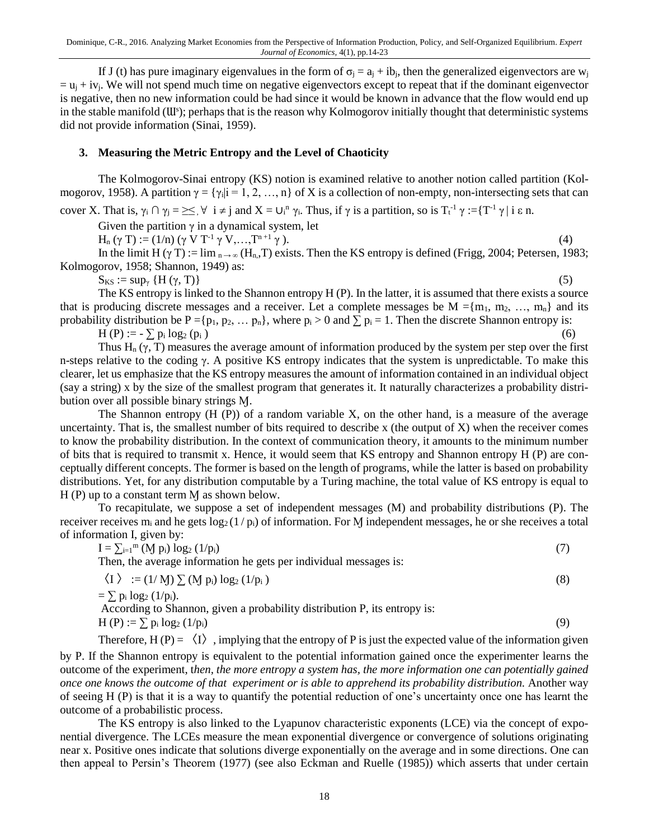If J (t) has pure imaginary eigenvalues in the form of  $\sigma_i = a_i + ib_i$ , then the generalized eigenvectors are w<sub>i</sub>  $=$   $u_j$  + iv<sub>i</sub>. We will not spend much time on negative eigenvectors except to repeat that if the dominant eigenvector is negative, then no new information could be had since it would be known in advance that the flow would end up in the stable manifold (UI<sup>s</sup>); perhaps that is the reason why Kolmogorov initially thought that deterministic systems did not provide information (Sinai, 1959).

# **3. Measuring the Metric Entropy and the Level of Chaoticity**

The Kolmogorov-Sinai entropy (KS) notion is examined relative to another notion called partition (Kolmogorov, 1958). A partition  $\gamma = {\gamma_i | i = 1, 2, ..., n}$  of X is a collection of non-empty, non-intersecting sets that can

cover X. That is,  $\gamma_i \cap \gamma_j = \leq \forall i \neq j$  and  $X = \bigcup_i^n \gamma_i$ . Thus, if  $\gamma$  is a partition, so is  $T_t^{-1} \gamma := \{T^{-1} \gamma | i \in n\}$ .

Given the partition  $\gamma$  in a dynamical system, let

 $H_n(\gamma T) := (1/n) (\gamma V T^{-1} \gamma V, ..., T^{n+1} \gamma).$  (4)

In the limit H ( $\gamma$  T) := lim  $_{n \to \infty}$  (H<sub>n</sub>,T) exists. Then the KS entropy is defined (Frigg, 2004; Petersen, 1983; Kolmogorov, 1958; Shannon, 1949) as:

 $S_{KS} := \sup_{\gamma} \{H(\gamma, T)\}$  (5)

The KS entropy is linked to the Shannon entropy H (P). In the latter, it is assumed that there exists a source that is producing discrete messages and a receiver. Let a complete messages be  $M = \{m_1, m_2, ..., m_n\}$  and its probability distribution be  $P = \{p_1, p_2, \dots, p_n\}$ , where  $p_i > 0$  and  $\sum p_i = 1$ . Then the discrete Shannon entropy is:

 $H(P) := -\sum p_i \log_2 (p_i)$  (6)

Thus  $H_n(\gamma, T)$  measures the average amount of information produced by the system per step over the first n-steps relative to the coding γ. A positive KS entropy indicates that the system is unpredictable. To make this clearer, let us emphasize that the KS entropy measures the amount of information contained in an individual object (say a string) x by the size of the smallest program that generates it. It naturally characterizes a probability distribution over all possible binary strings M.

The Shannon entropy  $(H (P))$  of a random variable X, on the other hand, is a measure of the average uncertainty. That is, the smallest number of bits required to describe x (the output of  $X$ ) when the receiver comes to know the probability distribution. In the context of communication theory, it amounts to the minimum number of bits that is required to transmit x. Hence, it would seem that KS entropy and Shannon entropy H (P) are conceptually different concepts. The former is based on the length of programs, while the latter is based on probability distributions. Yet, for any distribution computable by a Turing machine, the total value of KS entropy is equal to  $H(P)$  up to a constant term M as shown below.

To recapitulate, we suppose a set of independent messages (M) and probability distributions (P). The receiver receives m<sub>i</sub> and he gets  $log_2(1/p_i)$  of information. For M independent messages, he or she receives a total of information I, given by:

 $I = \sum_{i=1}^{m} (M p_i) \log_2 (1/p_i)$  (7)

Then, the average information he gets per individual messages is:

$$
\langle I \rangle := (1/M) \sum (M \, p_i) \log_2 \left( 1/p_i \right) \tag{8}
$$

$$
=\sum p_i \log_2{(1/p_i)}.
$$

According to Shannon, given a probability distribution P, its entropy is:  $H(P) := \sum p_i \log_2 (1/p_i)$  (9)

Therefore,  $H(P) = \langle I \rangle$ , implying that the entropy of P is just the expected value of the information given

by P. If the Shannon entropy is equivalent to the potential information gained once the experimenter learns the outcome of the experiment, t*hen, the more entropy a system has, the more information one can potentially gained once one knows the outcome of that experiment or is able to apprehend its probability distribution.* Another way of seeing H (P) is that it is a way to quantify the potential reduction of one's uncertainty once one has learnt the outcome of a probabilistic process.

The KS entropy is also linked to the Lyapunov characteristic exponents (LCE) via the concept of exponential divergence. The LCEs measure the mean exponential divergence or convergence of solutions originating near x. Positive ones indicate that solutions diverge exponentially on the average and in some directions. One can then appeal to Persin's Theorem (1977) (see also Eckman and Ruelle (1985)) which asserts that under certain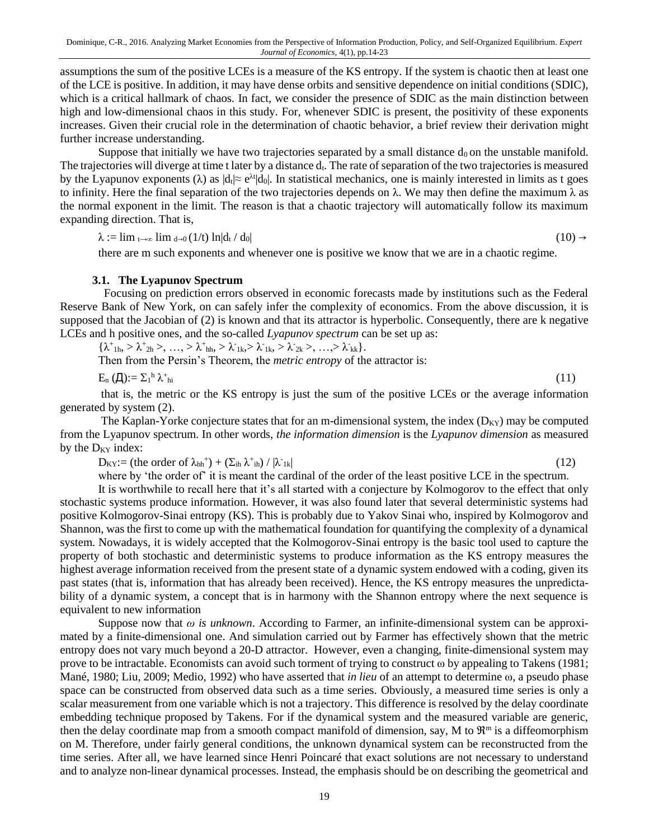assumptions the sum of the positive LCEs is a measure of the KS entropy. If the system is chaotic then at least one of the LCE is positive. In addition, it may have dense orbits and sensitive dependence on initial conditions (SDIC), which is a critical hallmark of chaos. In fact, we consider the presence of SDIC as the main distinction between high and low-dimensional chaos in this study. For, whenever SDIC is present, the positivity of these exponents increases. Given their crucial role in the determination of chaotic behavior, a brief review their derivation might further increase understanding.

Suppose that initially we have two trajectories separated by a small distance  $d_0$  on the unstable manifold. The trajectories will diverge at time t later by a distance  $d_t$ . The rate of separation of the two trajectories is measured by the Lyapunov exponents ( $\lambda$ ) as  $|d_t| \approx e^{\lambda t} |d_0|$ . In statistical mechanics, one is mainly interested in limits as t goes to infinity. Here the final separation of the two trajectories depends on  $\lambda$ . We may then define the maximum  $\lambda$  as the normal exponent in the limit. The reason is that a chaotic trajectory will automatically follow its maximum expanding direction. That is,

 $\lambda := \lim_{t \to \infty} \lim_{d \to 0} (1/t) \ln |d_t / d_0|$  (10) →

there are m such exponents and whenever one is positive we know that we are in a chaotic regime.

#### **3.1. The Lyapunov Spectrum**

 Focusing on prediction errors observed in economic forecasts made by institutions such as the Federal Reserve Bank of New York, on can safely infer the complexity of economics. From the above discussion, it is supposed that the Jacobian of (2) is known and that its attractor is hyperbolic. Consequently, there are k negative LCEs and h positive ones, and the so-called *Lyapunov spectrum* can be set up as:

 $\{\lambda^+_{1h}, \lambda^+_{2h}, \lambda^-, ..., \lambda^+_{hh}, \lambda^-_{1k}, \lambda^-_{1k}, \lambda^-_{2k}, \lambda^-_{2k}, ..., \lambda^-_{kk}\}.$ 

Then from the Persin's Theorem, the *metric entropy* of the attractor is:

 $E_n (\Pi) := \Sigma_1^h \lambda^+$ hi  $(11)$ 

that is, the metric or the KS entropy is just the sum of the positive LCEs or the average information generated by system (2).

The Kaplan-Yorke conjecture states that for an m-dimensional system, the index  $(D_{KY})$  may be computed from the Lyapunov spectrum. In other words, *the information dimension* is the *Lyapunov dimension* as measured by the  $D_{KY}$  index:

 $D_{KY} := (\text{the order of } \lambda_{hh}^+) + (\Sigma_{ih} \lambda_{ih}) / |\lambda^{-1}|$  $_{1k}$  (12)

where by 'the order of' it is meant the cardinal of the order of the least positive LCE in the spectrum.

It is worthwhile to recall here that it's all started with a conjecture by Kolmogorov to the effect that only stochastic systems produce information. However, it was also found later that several deterministic systems had positive Kolmogorov-Sinai entropy (KS). This is probably due to Yakov Sinai who, inspired by Kolmogorov and Shannon, was the first to come up with the mathematical foundation for quantifying the complexity of a dynamical system. Nowadays, it is widely accepted that the Kolmogorov-Sinai entropy is the basic tool used to capture the property of both stochastic and deterministic systems to produce information as the KS entropy measures the highest average information received from the present state of a dynamic system endowed with a coding, given its past states (that is, information that has already been received). Hence, the KS entropy measures the unpredictability of a dynamic system, a concept that is in harmony with the Shannon entropy where the next sequence is equivalent to new information

Suppose now that *ω is unknown*. According to Farmer, an infinite-dimensional system can be approximated by a finite-dimensional one. And simulation carried out by Farmer has effectively shown that the metric entropy does not vary much beyond a 20-D attractor. However, even a changing, finite-dimensional system may prove to be intractable. Economists can avoid such torment of trying to construct ω by appealing to Takens (1981; Mané, 1980; Liu, 2009; Medio, 1992) who have asserted that *in lieu* of an attempt to determine ω, a pseudo phase space can be constructed from observed data such as a time series. Obviously, a measured time series is only a scalar measurement from one variable which is not a trajectory. This difference is resolved by the delay coordinate embedding technique proposed by Takens. For if the dynamical system and the measured variable are generic, then the delay coordinate map from a smooth compact manifold of dimension, say, M to  $\mathfrak{R}^m$  is a diffeomorphism on M. Therefore, under fairly general conditions, the unknown dynamical system can be reconstructed from the time series. After all, we have learned since Henri Poincaré that exact solutions are not necessary to understand and to analyze non-linear dynamical processes. Instead, the emphasis should be on describing the geometrical and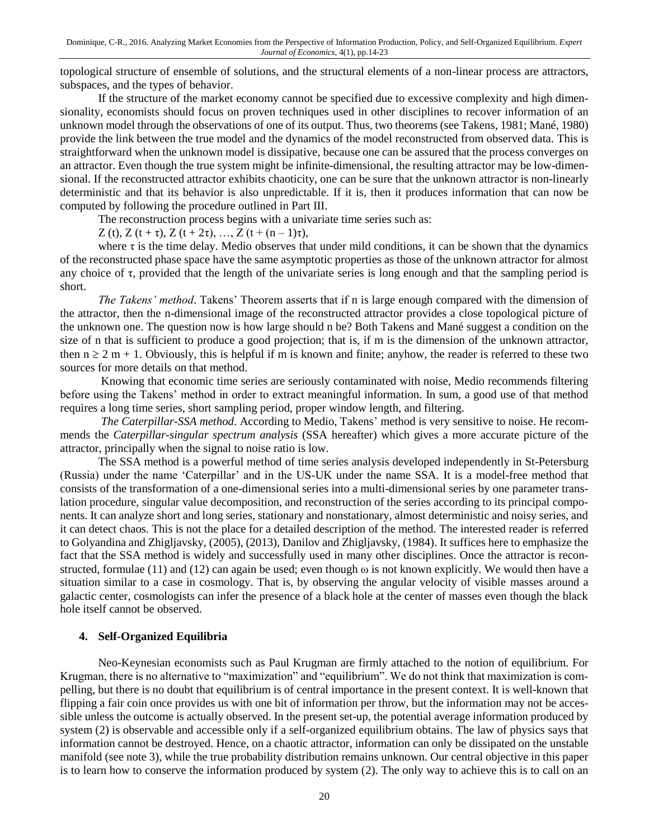topological structure of ensemble of solutions, and the structural elements of a non-linear process are attractors, subspaces, and the types of behavior.

If the structure of the market economy cannot be specified due to excessive complexity and high dimensionality, economists should focus on proven techniques used in other disciplines to recover information of an unknown model through the observations of one of its output. Thus, two theorems (see Takens, 1981; Mané, 1980) provide the link between the true model and the dynamics of the model reconstructed from observed data. This is straightforward when the unknown model is dissipative, because one can be assured that the process converges on an attractor. Even though the true system might be infinite-dimensional, the resulting attractor may be low-dimensional. If the reconstructed attractor exhibits chaoticity, one can be sure that the unknown attractor is non-linearly deterministic and that its behavior is also unpredictable. If it is, then it produces information that can now be computed by following the procedure outlined in Part III.

The reconstruction process begins with a univariate time series such as:

Z (t), Z (t + τ), Z (t + 2τ), …, Z (t +  $(n-1)\tau$ ),

where  $\tau$  is the time delay. Medio observes that under mild conditions, it can be shown that the dynamics of the reconstructed phase space have the same asymptotic properties as those of the unknown attractor for almost any choice of  $\tau$ , provided that the length of the univariate series is long enough and that the sampling period is short.

*The Takens' method*. Takens' Theorem asserts that if n is large enough compared with the dimension of the attractor, then the n-dimensional image of the reconstructed attractor provides a close topological picture of the unknown one. The question now is how large should n be? Both Takens and Mané suggest a condition on the size of n that is sufficient to produce a good projection; that is, if m is the dimension of the unknown attractor, then  $n \ge 2$  m + 1. Obviously, this is helpful if m is known and finite; anyhow, the reader is referred to these two sources for more details on that method.

Knowing that economic time series are seriously contaminated with noise, Medio recommends filtering before using the Takens' method in order to extract meaningful information. In sum, a good use of that method requires a long time series, short sampling period, proper window length, and filtering.

*The Caterpillar-SSA method*. According to Medio, Takens' method is very sensitive to noise. He recommends the *Caterpillar-singular spectrum analysis* (SSA hereafter) which gives a more accurate picture of the attractor, principally when the signal to noise ratio is low.

The SSA method is a powerful method of time series analysis developed independently in St-Petersburg (Russia) under the name 'Caterpillar' and in the US-UK under the name SSA. It is a model-free method that consists of the transformation of a one-dimensional series into a multi-dimensional series by one parameter translation procedure, singular value decomposition, and reconstruction of the series according to its principal components. It can analyze short and long series, stationary and nonstationary, almost deterministic and noisy series, and it can detect chaos. This is not the place for a detailed description of the method. The interested reader is referred to Golyandina and Zhigljavsky, (2005), (2013), Danilov and Zhigljavsky, (1984). It suffices here to emphasize the fact that the SSA method is widely and successfully used in many other disciplines. Once the attractor is reconstructed, formulae (11) and (12) can again be used; even though  $\omega$  is not known explicitly. We would then have a situation similar to a case in cosmology. That is, by observing the angular velocity of visible masses around a galactic center, cosmologists can infer the presence of a black hole at the center of masses even though the black hole itself cannot be observed.

# **4. Self-Organized Equilibria**

Neo-Keynesian economists such as Paul Krugman are firmly attached to the notion of equilibrium. For Krugman, there is no alternative to "maximization" and "equilibrium". We do not think that maximization is compelling, but there is no doubt that equilibrium is of central importance in the present context. It is well-known that flipping a fair coin once provides us with one bit of information per throw, but the information may not be accessible unless the outcome is actually observed. In the present set-up, the potential average information produced by system (2) is observable and accessible only if a self-organized equilibrium obtains. The law of physics says that information cannot be destroyed. Hence, on a chaotic attractor, information can only be dissipated on the unstable manifold (see note 3), while the true probability distribution remains unknown. Our central objective in this paper is to learn how to conserve the information produced by system (2). The only way to achieve this is to call on an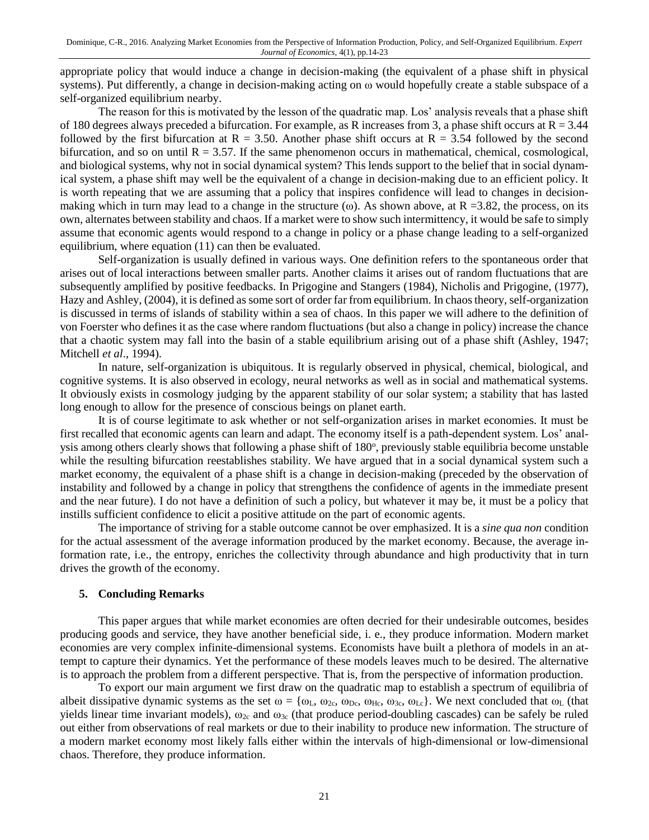appropriate policy that would induce a change in decision-making (the equivalent of a phase shift in physical systems). Put differently, a change in decision-making acting on ω would hopefully create a stable subspace of a self-organized equilibrium nearby.

The reason for this is motivated by the lesson of the quadratic map. Los' analysis reveals that a phase shift of 180 degrees always preceded a bifurcation. For example, as R increases from 3, a phase shift occurs at  $R = 3.44$ followed by the first bifurcation at  $R = 3.50$ . Another phase shift occurs at  $R = 3.54$  followed by the second bifurcation, and so on until  $R = 3.57$ . If the same phenomenon occurs in mathematical, chemical, cosmological, and biological systems, why not in social dynamical system? This lends support to the belief that in social dynamical system, a phase shift may well be the equivalent of a change in decision-making due to an efficient policy. It is worth repeating that we are assuming that a policy that inspires confidence will lead to changes in decisionmaking which in turn may lead to a change in the structure  $(\omega)$ . As shown above, at R =3.82, the process, on its own, alternates between stability and chaos. If a market were to show such intermittency, it would be safe to simply assume that economic agents would respond to a change in policy or a phase change leading to a self-organized equilibrium, where equation (11) can then be evaluated.

Self-organization is usually defined in various ways. One definition refers to the spontaneous order that arises out of local interactions between smaller parts. Another claims it arises out of random fluctuations that are subsequently amplified by positive feedbacks. In Prigogine and Stangers (1984), Nicholis and Prigogine, (1977), Hazy and Ashley, (2004), it is defined as some sort of order far from equilibrium. In chaos theory, self-organization is discussed in terms of islands of stability within a sea of chaos. In this paper we will adhere to the definition of von Foerster who defines it as the case where random fluctuations (but also a change in policy) increase the chance that a chaotic system may fall into the basin of a stable equilibrium arising out of a phase shift (Ashley, 1947; Mitchell *et al*., 1994).

In nature, self-organization is ubiquitous. It is regularly observed in physical, chemical, biological, and cognitive systems. It is also observed in ecology, neural networks as well as in social and mathematical systems. It obviously exists in cosmology judging by the apparent stability of our solar system; a stability that has lasted long enough to allow for the presence of conscious beings on planet earth.

It is of course legitimate to ask whether or not self-organization arises in market economies. It must be first recalled that economic agents can learn and adapt. The economy itself is a path-dependent system. Los' analysis among others clearly shows that following a phase shift of 180°, previously stable equilibria become unstable while the resulting bifurcation reestablishes stability. We have argued that in a social dynamical system such a market economy, the equivalent of a phase shift is a change in decision-making (preceded by the observation of instability and followed by a change in policy that strengthens the confidence of agents in the immediate present and the near future). I do not have a definition of such a policy, but whatever it may be, it must be a policy that instills sufficient confidence to elicit a positive attitude on the part of economic agents.

The importance of striving for a stable outcome cannot be over emphasized. It is a *sine qua non* condition for the actual assessment of the average information produced by the market economy. Because, the average information rate, i.e., the entropy, enriches the collectivity through abundance and high productivity that in turn drives the growth of the economy.

# **5. Concluding Remarks**

This paper argues that while market economies are often decried for their undesirable outcomes, besides producing goods and service, they have another beneficial side, i. e., they produce information. Modern market economies are very complex infinite-dimensional systems. Economists have built a plethora of models in an attempt to capture their dynamics. Yet the performance of these models leaves much to be desired. The alternative is to approach the problem from a different perspective. That is, from the perspective of information production.

To export our main argument we first draw on the quadratic map to establish a spectrum of equilibria of albeit dissipative dynamic systems as the set  $\omega = {\omega_L, \omega_{2c}, \omega_{Dc}, \omega_{Hc}, \omega_{3c}, \omega_{Lc}}$ . We next concluded that  $\omega_L$  (that yields linear time invariant models),  $\omega_{2c}$  and  $\omega_{3c}$  (that produce period-doubling cascades) can be safely be ruled out either from observations of real markets or due to their inability to produce new information. The structure of a modern market economy most likely falls either within the intervals of high-dimensional or low-dimensional chaos. Therefore, they produce information.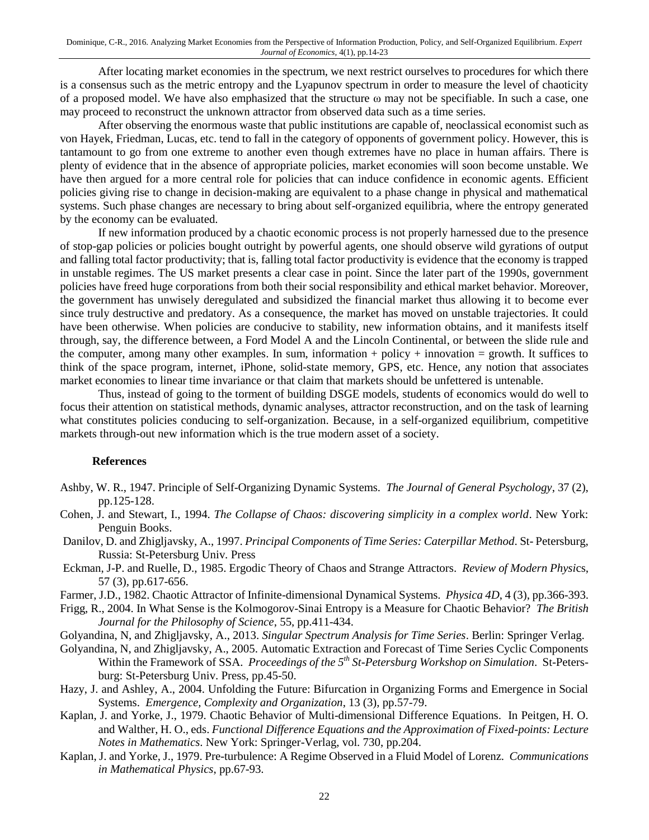After locating market economies in the spectrum, we next restrict ourselves to procedures for which there is a consensus such as the metric entropy and the Lyapunov spectrum in order to measure the level of chaoticity of a proposed model. We have also emphasized that the structure ω may not be specifiable. In such a case, one may proceed to reconstruct the unknown attractor from observed data such as a time series.

After observing the enormous waste that public institutions are capable of, neoclassical economist such as von Hayek, Friedman, Lucas, etc. tend to fall in the category of opponents of government policy. However, this is tantamount to go from one extreme to another even though extremes have no place in human affairs. There is plenty of evidence that in the absence of appropriate policies, market economies will soon become unstable. We have then argued for a more central role for policies that can induce confidence in economic agents. Efficient policies giving rise to change in decision-making are equivalent to a phase change in physical and mathematical systems. Such phase changes are necessary to bring about self-organized equilibria, where the entropy generated by the economy can be evaluated.

If new information produced by a chaotic economic process is not properly harnessed due to the presence of stop-gap policies or policies bought outright by powerful agents, one should observe wild gyrations of output and falling total factor productivity; that is, falling total factor productivity is evidence that the economy is trapped in unstable regimes. The US market presents a clear case in point. Since the later part of the 1990s, government policies have freed huge corporations from both their social responsibility and ethical market behavior. Moreover, the government has unwisely deregulated and subsidized the financial market thus allowing it to become ever since truly destructive and predatory. As a consequence, the market has moved on unstable trajectories. It could have been otherwise. When policies are conducive to stability, new information obtains, and it manifests itself through, say, the difference between, a Ford Model A and the Lincoln Continental, or between the slide rule and the computer, among many other examples. In sum, information + policy + innovation = growth. It suffices to think of the space program, internet, iPhone, solid-state memory, GPS, etc. Hence, any notion that associates market economies to linear time invariance or that claim that markets should be unfettered is untenable.

Thus, instead of going to the torment of building DSGE models, students of economics would do well to focus their attention on statistical methods, dynamic analyses, attractor reconstruction, and on the task of learning what constitutes policies conducing to self-organization. Because, in a self-organized equilibrium, competitive markets through-out new information which is the true modern asset of a society.

# **References**

- Ashby, W. R., 1947. Principle of Self-Organizing Dynamic Systems. *The Journal of General Psychology*, 37 (2), pp.125-128.
- Cohen, J. and Stewart, I., 1994. *The Collapse of Chaos: discovering simplicity in a complex world*. New York: Penguin Books.
- Danilov, D. and Zhigljavsky, A., 1997. *Principal Components of Time Series: Caterpillar Method*. St- Petersburg, Russia: St-Petersburg Univ. Press
- Eckman, J-P. and Ruelle, D., 1985. Ergodic Theory of Chaos and Strange Attractors. *Review of Modern Physi*cs, 57 (3), pp.617-656.
- Farmer, J.D., 1982. Chaotic Attractor of Infinite-dimensional Dynamical Systems. *Physica 4D*, 4 (3), pp.366-393.
- Frigg, R., 2004. In What Sense is the Kolmogorov-Sinai Entropy is a Measure for Chaotic Behavior? *The British Journal for the Philosophy of Science*, 55, pp.411-434.
- Golyandina, N, and Zhigljavsky, A., 2013. *Singular Spectrum Analysis for Time Series*. Berlin: Springer Verlag.
- Golyandina, N, and Zhigljavsky, A., 2005. Automatic Extraction and Forecast of Time Series Cyclic Components Within the Framework of SSA. *Proceedings of the 5th St-Petersburg Workshop on Simulation*. St-Petersburg: St-Petersburg Univ. Press, pp.45-50.
- Hazy, J. and Ashley, A., 2004. Unfolding the Future: Bifurcation in Organizing Forms and Emergence in Social Systems. *Emergence, Complexity and Organization*, 13 (3), pp.57-79.
- Kaplan, J. and Yorke, J., 1979. Chaotic Behavior of Multi-dimensional Difference Equations. In Peitgen, H. O. and Walther, H. O., eds. *Functional Difference Equations and the Approximation of Fixed-points: Lecture Notes in Mathematics*. New York: Springer-Verlag, vol. 730, pp.204.
- Kaplan, J. and Yorke, J., 1979. Pre-turbulence: A Regime Observed in a Fluid Model of Lorenz. *Communications in Mathematical Physics*, pp.67-93.